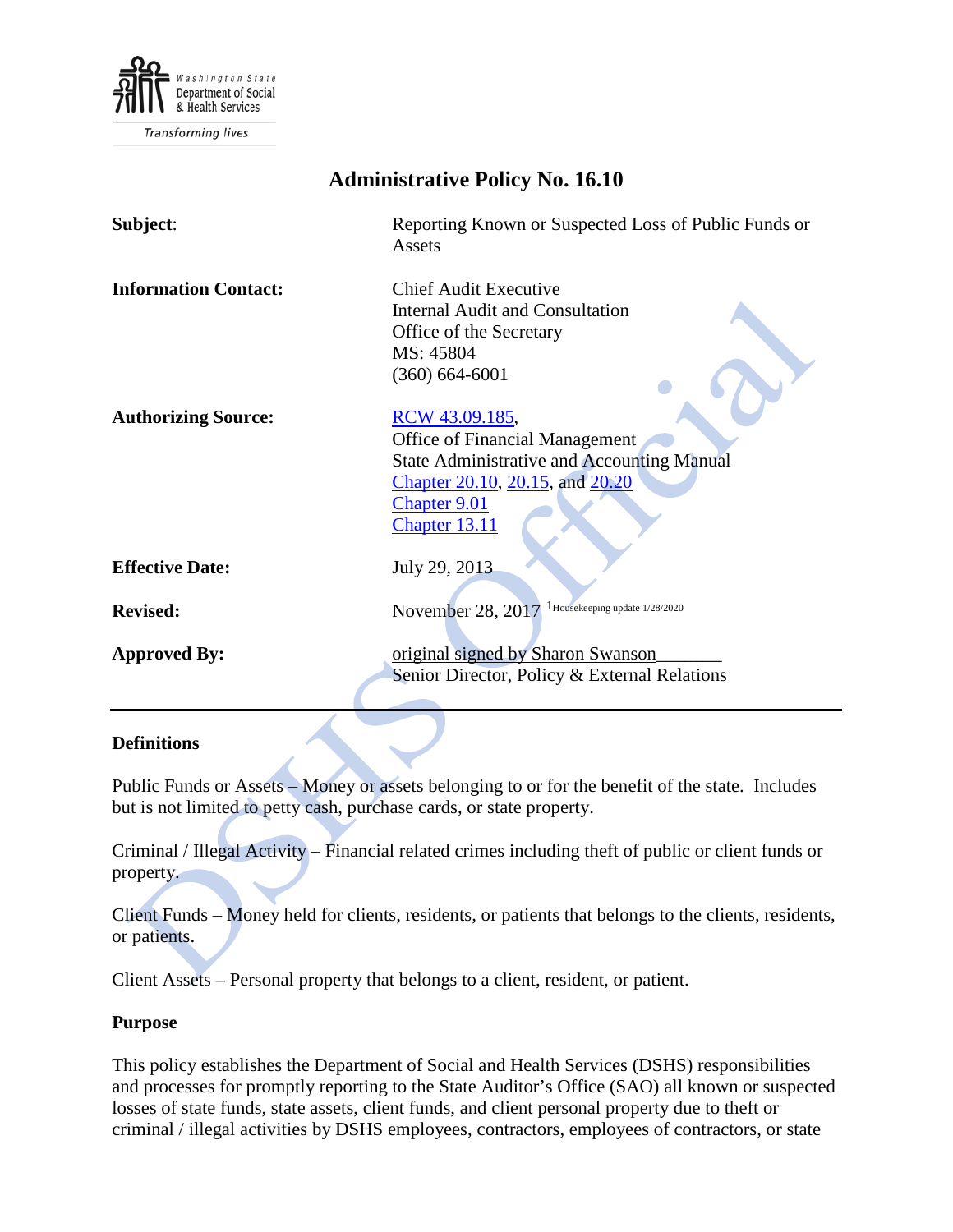

Transforming lives

| <b>Administrative Policy No. 16.10</b> |                                                                                                                                                                                  |
|----------------------------------------|----------------------------------------------------------------------------------------------------------------------------------------------------------------------------------|
| Subject:                               | Reporting Known or Suspected Loss of Public Funds or<br>Assets                                                                                                                   |
| <b>Information Contact:</b>            | <b>Chief Audit Executive</b><br><b>Internal Audit and Consultation</b><br>Office of the Secretary<br>MS: 45804<br>$(360) 664 - 6001$                                             |
| <b>Authorizing Source:</b>             | RCW 43.09.185,<br><b>Office of Financial Management</b><br><b>State Administrative and Accounting Manual</b><br>Chapter 20.10, 20.15, and 20.20<br>Chapter 9.01<br>Chapter 13.11 |
| <b>Effective Date:</b>                 | July 29, 2013                                                                                                                                                                    |
| <b>Revised:</b>                        | November 28, 2017 <sup>1</sup> Housekeeping update 1/28/2020                                                                                                                     |
| <b>Approved By:</b>                    | original signed by Sharon Swanson<br>Senior Director, Policy & External Relations                                                                                                |

## **Definitions**

Public Funds or Assets – Money or assets belonging to or for the benefit of the state. Includes but is not limited to petty cash, purchase cards, or state property.

Criminal / Illegal Activity – Financial related crimes including theft of public or client funds or property.

Client Funds – Money held for clients, residents, or patients that belongs to the clients, residents, or patients.

Client Assets – Personal property that belongs to a client, resident, or patient.

## **Purpose**

This policy establishes the Department of Social and Health Services (DSHS) responsibilities and processes for promptly reporting to the State Auditor's Office (SAO) all known or suspected losses of state funds, state assets, client funds, and client personal property due to theft or criminal / illegal activities by DSHS employees, contractors, employees of contractors, or state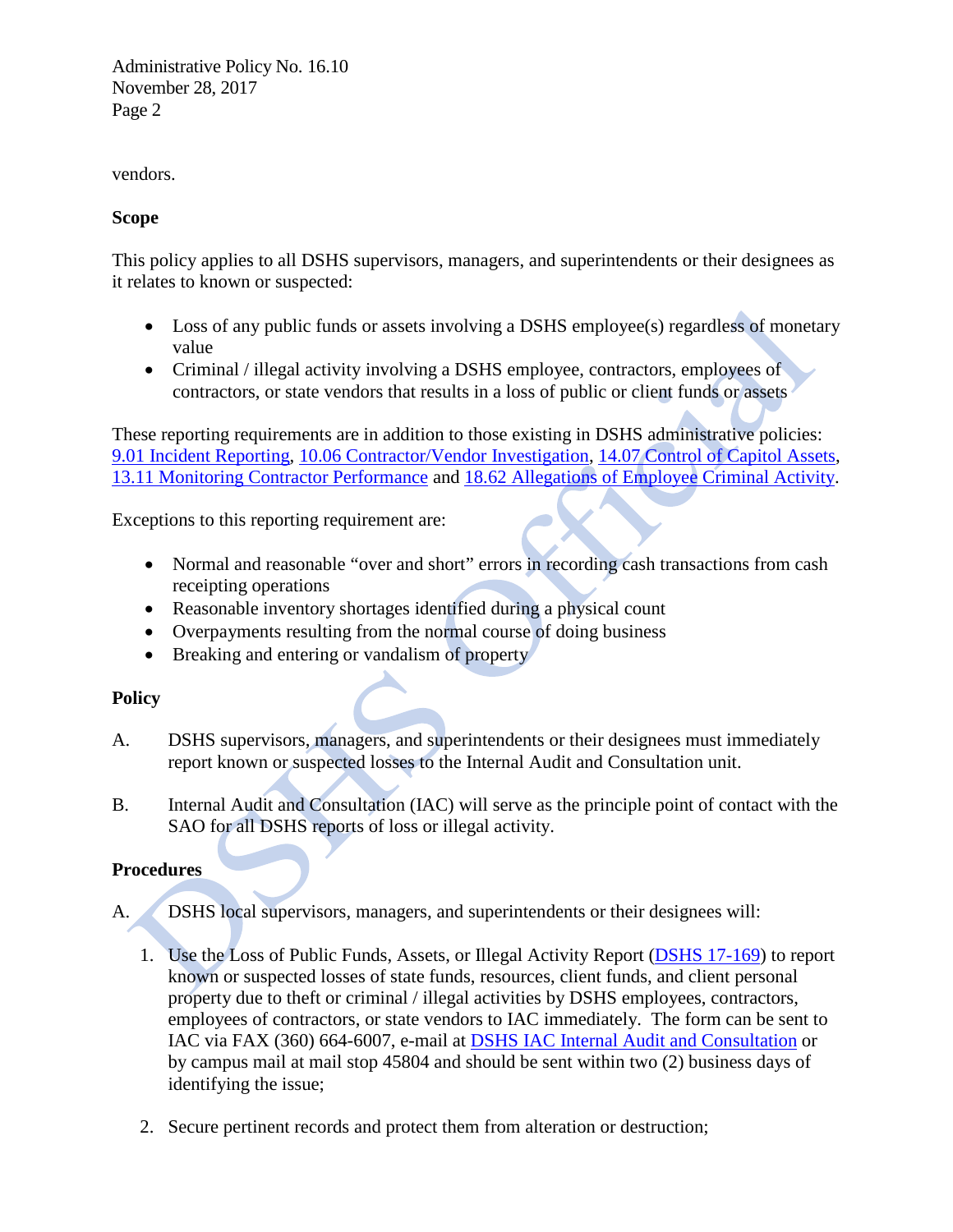Administrative Policy No. 16.10 November 28, 2017 Page 2

vendors.

## **Scope**

This policy applies to all DSHS supervisors, managers, and superintendents or their designees as it relates to known or suspected:

- Loss of any public funds or assets involving a DSHS employee(s) regardless of monetary value
- Criminal / illegal activity involving a DSHS employee, contractors, employees of contractors, or state vendors that results in a loss of public or client funds or assets

These reporting requirements are in addition to those existing in DSHS administrative policies: [9.01 Incident Reporting,](http://one.dshs.wa.lcl/Policies/Administrative/DSHS-AP-09-01.pdf) 10.06 [Contractor/Vendor Investigation,](http://one.dshs.wa.lcl/Policies/Administrative/DSHS-AP-10-06.pdf) 14.07 [Control of Capitol](http://one.dshs.wa.lcl/Policies/Administrative/DSHS-AP-14-07.pdf) Assets, [13.11 Monitoring Contractor Performance](http://one.dshs.wa.lcl/Policies/Administrative/DSHS-AP-13-11.pdf) and 18.62 [Allegations of Employee Criminal Activity.](http://one.dshs.wa.lcl/Policies/Administrative/DSHS-AP-18-62.pdf)

Exceptions to this reporting requirement are:

- Normal and reasonable "over and short" errors in recording cash transactions from cash receipting operations
- Reasonable inventory shortages identified during a physical count
- Overpayments resulting from the normal course of doing business
- Breaking and entering or vandalism of property

# **Policy**

- A. DSHS supervisors, managers, and superintendents or their designees must immediately report known or suspected losses to the Internal Audit and Consultation unit.
- B. Internal Audit and Consultation (IAC) will serve as the principle point of contact with the SAO for all DSHS reports of loss or illegal activity.

# **Procedures**

- A. DSHS local supervisors, managers, and superintendents or their designees will:
	- 1. Use the Loss of Public Funds, Assets, or Illegal Activity Report [\(DSHS 17-169\)](http://forms.dshs.wa.lcl/formDetails.aspx?ID=6528) to report known or suspected losses of state funds, resources, client funds, and client personal property due to theft or criminal / illegal activities by DSHS employees, contractors, employees of contractors, or state vendors to IAC immediately. The form can be sent to IAC via FAX (360) 664-6007, e-mail at DSHS [IAC Internal Audit and Consultation](mailto:DSHSIACInternalAuditandConsultation@dshs.wa.gov) or by campus mail at mail stop 45804 and should be sent within two (2) business days of identifying the issue;
	- 2. Secure pertinent records and protect them from alteration or destruction;